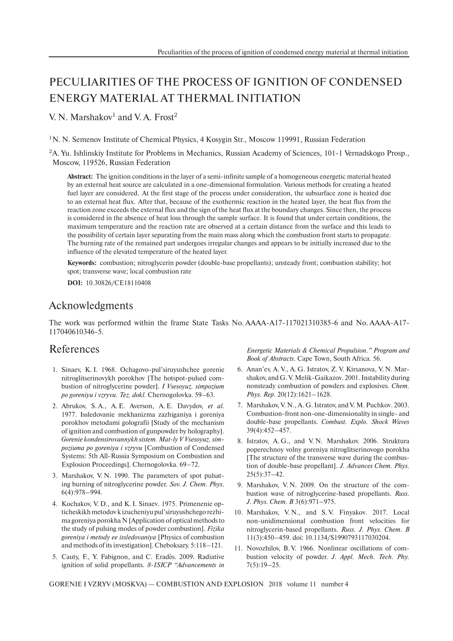## PECULIARITIES OF THE PROCESS OF IGNITION OF CONDENSED ENERGY MATERIAL AT THERMAL INITIATION

V. N. Marshakov<sup>1</sup> and V. A. Frost<sup>2</sup>

<sup>1</sup>N. N. Semenov Institute of Chemical Physics, 4 Kosygin Str., Moscow 119991, Russian Federation

<sup>2</sup>A. Yu. Ishlinskiy Institute for Problems in Mechanics, Russian Academy of Sciences, 101-1 Vernadskogo Prosp., Moscow, 119526, Russian Federation

**Abstract:** The ignition conditions in the layer of a semi-infinite sample of a homogeneous energetic material heated by an external heat source are calculated in a one-dimensional formulation. Various methods for creating a heated fuel layer are considered. At the first stage of the process under consideration, the subsurface zone is heated due to an external heat flux. After that, because of the exothermic reaction in the heated layer, the heat flux from the reaction zone exceeds the external flux and the sign of the heat flux at the boundary changes. Since then, the process is considered in the absence of heat loss through the sample surface. It is found that under certain conditions, the maximum temperature and the reaction rate are observed at a certain distance from the surface and this leads to the possibility of certain layer separating from the main mass along which the combustion front starts to propagate. The burning rate of the remained part undergoes irregular changes and appears to be initially increased due to the influence of the elevated temperature of the heated layer.

**Keywords:** combustion; nitroglycerin powder (double-base propellants); unsteady front; combustion stability; hot spot; transverse wave; local combustion rate

**DOI:** 10.30826/CE18110408

## Acknowledgments

The work was performed within the frame State Tasks No. AAAA-A17-117021310385-6 and No. АААА-А17- 117040610346-5.

## References

- 1. Sinaev, K. I. 1968. Ochagovo-pul'siruyushchee gorenie nitroglitserinovykh porokhov [The hotspot-pulsed combustion of nitroglycerine powder]. *I Vsesoyuz. simpozium po goreniyu i vzryvu. Tez. dokl.* Chernogolovka. 59–63.
- 2. Abrukov, S. A., A. E. Averson, A. E. Davydov, *et al.* 1977. Issledovanie mekhanizma zazhiganiya i goreniya porokhov metodami golografii [Study of the mechanism of ignition and combustion of gunpowder by holography]. *Gorenie kondensirovannykh sistem. Mat-ly V Vsesoyuz. simpoziuma po goreniyu i vzryvu* [Combustion of Condensed Systems: 5th All-Russia Symposium on Combustion and Explosion Proceedings]. Chernogolovka. 69–72.
- 3. Marshakov, V. N. 1990. The parameters of spot pulsating burning of nitroglycerine powder. *Sov. J. Chem. Phys.* 6(4):978–994.
- 4. Kochakov, V. D., and K. I. Sinaev. 1975. Primenenie opticheskikh metodov k izucheniyu pul'siruyushchego rezhima goreniya porokha N [Application of optical methods to the study of pulsing modes of powder combustion]. *Fizika goreniya i metody ee issledovaniya* [Physics of combustion and methods of its investigation]. Cheboksary. 5:118–121.
- 5. Cauty, F., Y. Fabignon, and C. Eradès. 2009. Radiative ignition of solid propellants. *8-ISICP "Advancements in*

*Energetic Materials & Chemical Propulsion." Program and Book of Abstracts*. Cape Town, South Africa. 56.

- 6. Anan'ev, A. V., A. G. Istratov, Z. V. Kirsanova, V. N. Marshakov, and G. V. Melik-Gaikazov. 2001. Instability during nonsteady combustion of powders and explosives. *Chem. Phys. Rep.* 20(12):1621–1628.
- 7. Marshakov, V. N., A. G. Istratov, and V. M. Puchkov. 2003. Combustion-front non-one-dimensionality in single- and double-base propellants. *Combust. Explo. Shock Waves* 39(4):452–457.
- 8. Istratov, A. G., and V. N. Marshakov. 2006. Struktura poperechnoy volny goreniya nitroglitserinovogo porokha [The structure of the transverse wave during the combustion of double-base propellant]. *J. Advances Chem. Phys.* 25(5):37–42.
- 9. Marshakov, V. N. 2009. On the structure of the combustion wave of nitroglycerine-based propellants. *Russ. J. Phys. Chem. B* 3(6):971–975.
- 10. Marshakov, V.N., and S.V. Finyakov. 2017. Local non-unidimensional combustion front velocities for nitroglycerin-based propellants. *Russ. J. Phys. Chem. B* 11(3):450–459. doi: 10.1134/S1990793117030204.
- 11. Novozhilov, B. V. 1966. Nonlinear oscillations of combustion velocity of powder. *J. Appl. Mech. Tech. Phy.*  $7(5):19-25.$

GORENIE I VZRYV (MOSKVA) — COMBUSTION AND EXPLOSION 2018 volume 11 number 4